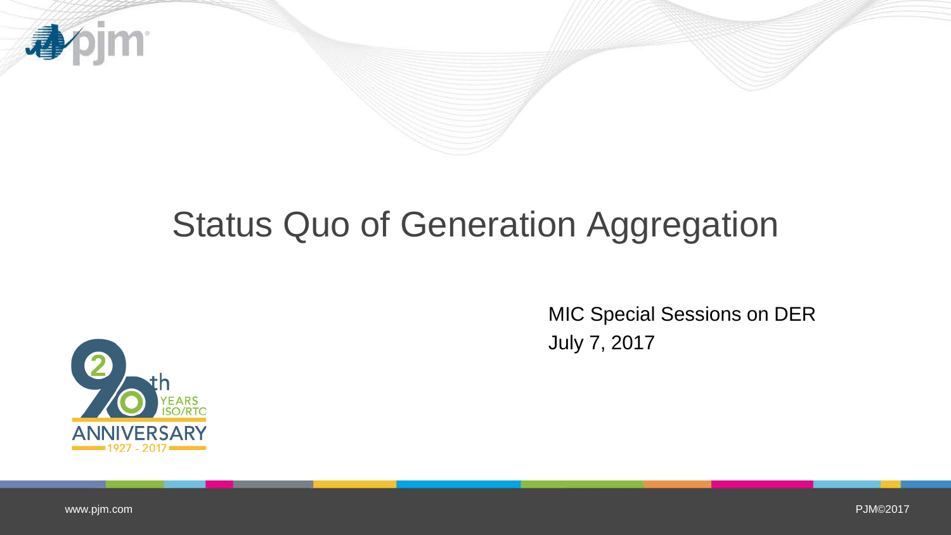

# Status Quo of Generation Aggregation



MIC Special Sessions on DER July 7, 2017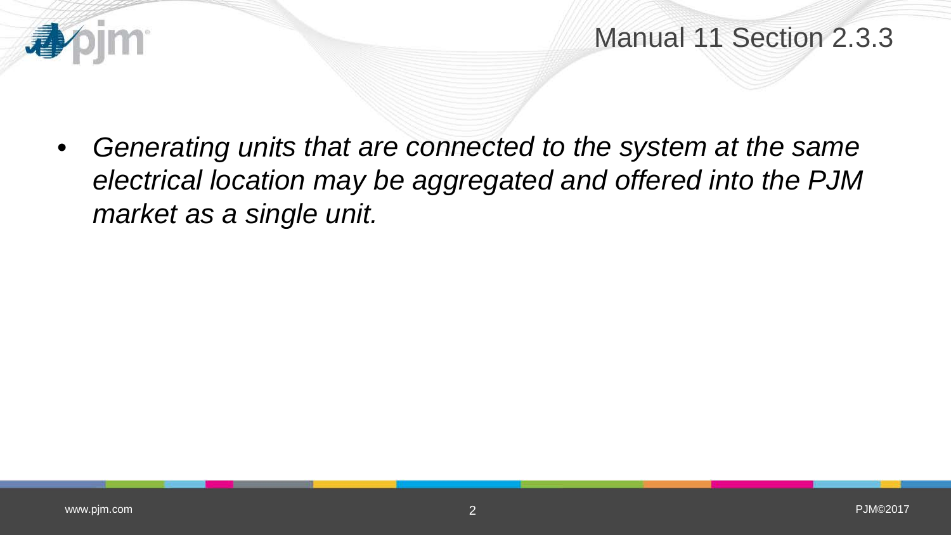

Manual 11 Section 2.3.3

• *Generating units that are connected to the system at the same electrical location may be aggregated and offered into the PJM market as a single unit.*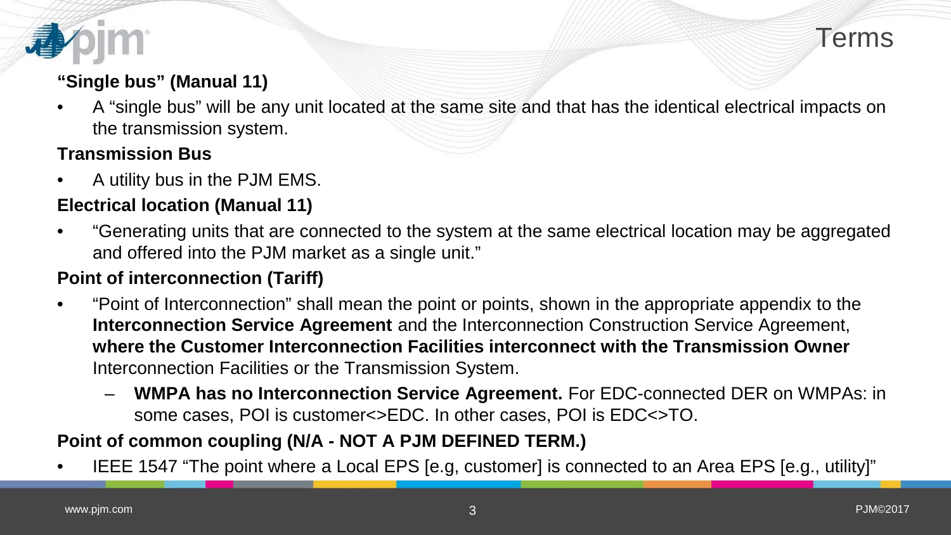

#### **"Single bus" (Manual 11)**

• A "single bus" will be any unit located at the same site and that has the identical electrical impacts on the transmission system.

#### **Transmission Bus**

• A utility bus in the PJM EMS.

### **Electrical location (Manual 11)**

• "Generating units that are connected to the system at the same electrical location may be aggregated and offered into the PJM market as a single unit."

#### **Point of interconnection (Tariff)**

- "Point of Interconnection" shall mean the point or points, shown in the appropriate appendix to the **Interconnection Service Agreement** and the Interconnection Construction Service Agreement, **where the Customer Interconnection Facilities interconnect with the Transmission Owner**  Interconnection Facilities or the Transmission System.
	- **WMPA has no Interconnection Service Agreement.** For EDC-connected DER on WMPAs: in some cases, POI is customer<>EDC. In other cases, POI is EDC<>TO.

#### **Point of common coupling (N/A - NOT A PJM DEFINED TERM.)**

• IEEE 1547 "The point where a Local EPS [e.g, customer] is connected to an Area EPS [e.g., utility]"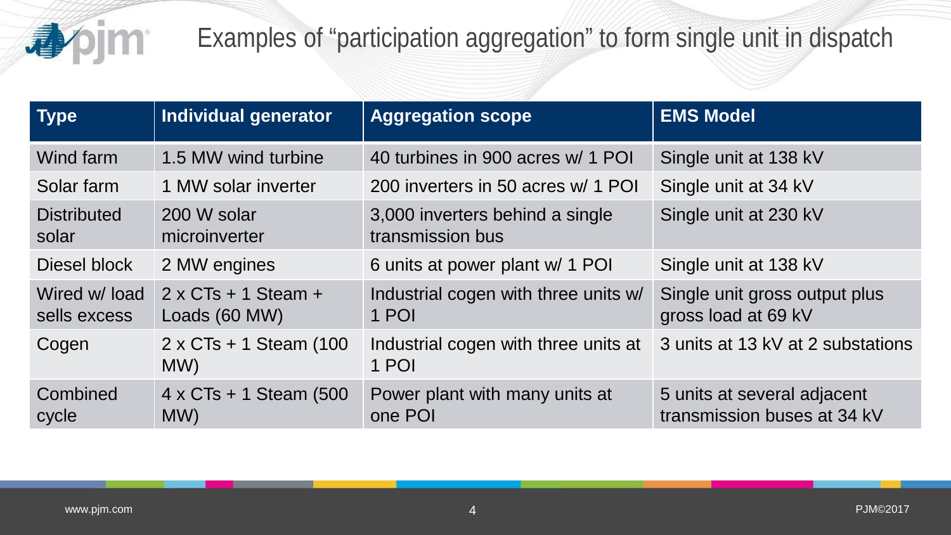

## Examples of "participation aggregation" to form single unit in dispatch

| <b>Type</b>                  | Individual generator                         | <b>Aggregation scope</b>                            | <b>EMS Model</b>                                           |
|------------------------------|----------------------------------------------|-----------------------------------------------------|------------------------------------------------------------|
| Wind farm                    | 1.5 MW wind turbine                          | 40 turbines in 900 acres w/ 1 POI                   | Single unit at 138 kV                                      |
| Solar farm                   | 1 MW solar inverter                          | 200 inverters in 50 acres w/ 1 POI                  | Single unit at 34 kV                                       |
| <b>Distributed</b><br>solar  | 200 W solar<br>microinverter                 | 3,000 inverters behind a single<br>transmission bus | Single unit at 230 kV                                      |
| Diesel block                 | 2 MW engines                                 | 6 units at power plant w/ 1 POI                     | Single unit at 138 kV                                      |
| Wired w/load<br>sells excess | $2 \times C$ Ts + 1 Steam +<br>Loads (60 MW) | Industrial cogen with three units w/<br>1 POI       | Single unit gross output plus<br>gross load at 69 kV       |
| Cogen                        | $2 \times C$ Ts + 1 Steam (100<br>MW)        | Industrial cogen with three units at<br>1 POI       | 3 units at 13 kV at 2 substations                          |
| Combined<br>cycle            | $4 \times CTs + 1$ Steam (500<br>MW)         | Power plant with many units at<br>one POI           | 5 units at several adjacent<br>transmission buses at 34 kV |